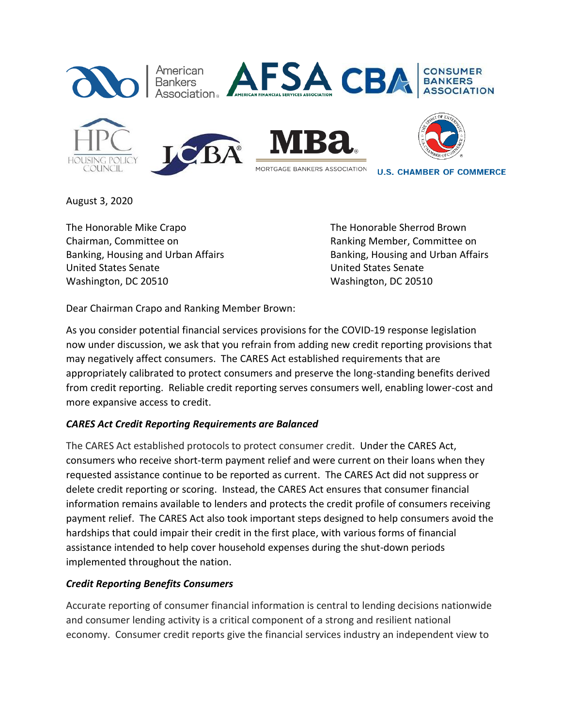

August 3, 2020

The Honorable Mike Crapo The Honorable Sherrod Brown Chairman, Committee on Ranking Member, Committee on Banking, Housing and Urban Affairs **Banking, Housing and Urban Affairs** Banking, Housing and Urban Affairs United States Senate United States Senate Washington, DC 20510 Washington, DC 20510

Dear Chairman Crapo and Ranking Member Brown:

As you consider potential financial services provisions for the COVID-19 response legislation now under discussion, we ask that you refrain from adding new credit reporting provisions that may negatively affect consumers. The CARES Act established requirements that are appropriately calibrated to protect consumers and preserve the long-standing benefits derived from credit reporting. Reliable credit reporting serves consumers well, enabling lower-cost and more expansive access to credit.

## *CARES Act Credit Reporting Requirements are Balanced*

The CARES Act established protocols to protect consumer credit. Under the CARES Act, consumers who receive short-term payment relief and were current on their loans when they requested assistance continue to be reported as current. The CARES Act did not suppress or delete credit reporting or scoring. Instead, the CARES Act ensures that consumer financial information remains available to lenders and protects the credit profile of consumers receiving payment relief. The CARES Act also took important steps designed to help consumers avoid the hardships that could impair their credit in the first place, with various forms of financial assistance intended to help cover household expenses during the shut-down periods implemented throughout the nation.

## *Credit Reporting Benefits Consumers*

Accurate reporting of consumer financial information is central to lending decisions nationwide and consumer lending activity is a critical component of a strong and resilient national economy. Consumer credit reports give the financial services industry an independent view to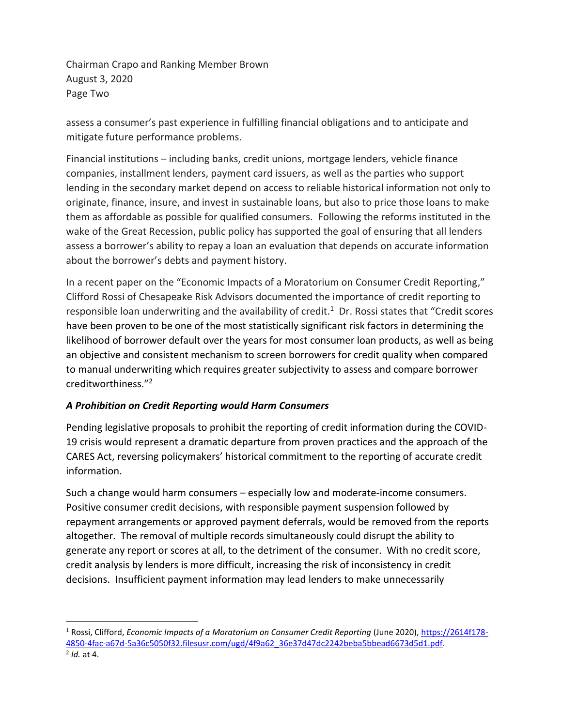Chairman Crapo and Ranking Member Brown August 3, 2020 Page Two

assess a consumer's past experience in fulfilling financial obligations and to anticipate and mitigate future performance problems.

Financial institutions – including banks, credit unions, mortgage lenders, vehicle finance companies, installment lenders, payment card issuers, as well as the parties who support lending in the secondary market depend on access to reliable historical information not only to originate, finance, insure, and invest in sustainable loans, but also to price those loans to make them as affordable as possible for qualified consumers. Following the reforms instituted in the wake of the Great Recession, public policy has supported the goal of ensuring that all lenders assess a borrower's ability to repay a loan an evaluation that depends on accurate information about the borrower's debts and payment history.

In a recent paper on the "Economic Impacts of a Moratorium on Consumer Credit Reporting," Clifford Rossi of Chesapeake Risk Advisors documented the importance of credit reporting to responsible loan underwriting and the availability of credit. $<sup>1</sup>$  Dr. Rossi states that "Credit scores</sup> have been proven to be one of the most statistically significant risk factors in determining the likelihood of borrower default over the years for most consumer loan products, as well as being an objective and consistent mechanism to screen borrowers for credit quality when compared to manual underwriting which requires greater subjectivity to assess and compare borrower creditworthiness."<sup>2</sup>

## *A Prohibition on Credit Reporting would Harm Consumers*

Pending legislative proposals to prohibit the reporting of credit information during the COVID-19 crisis would represent a dramatic departure from proven practices and the approach of the CARES Act, reversing policymakers' historical commitment to the reporting of accurate credit information.

Such a change would harm consumers – especially low and moderate-income consumers. Positive consumer credit decisions, with responsible payment suspension followed by repayment arrangements or approved payment deferrals, would be removed from the reports altogether. The removal of multiple records simultaneously could disrupt the ability to generate any report or scores at all, to the detriment of the consumer. With no credit score, credit analysis by lenders is more difficult, increasing the risk of inconsistency in credit decisions. Insufficient payment information may lead lenders to make unnecessarily

<sup>1</sup> Rossi, Clifford, *Economic Impacts of a Moratorium on Consumer Credit Reporting* (June 2020), [https://2614f178-](https://2614f178-4850-4fac-a67d-5a36c5050f32.filesusr.com/ugd/4f9a62_36e37d47dc2242beba5bbead6673d5d1.pdf) [4850-4fac-a67d-5a36c5050f32.filesusr.com/ugd/4f9a62\\_36e37d47dc2242beba5bbead6673d5d1.pdf.](https://2614f178-4850-4fac-a67d-5a36c5050f32.filesusr.com/ugd/4f9a62_36e37d47dc2242beba5bbead6673d5d1.pdf) 2 *Id.* at 4.